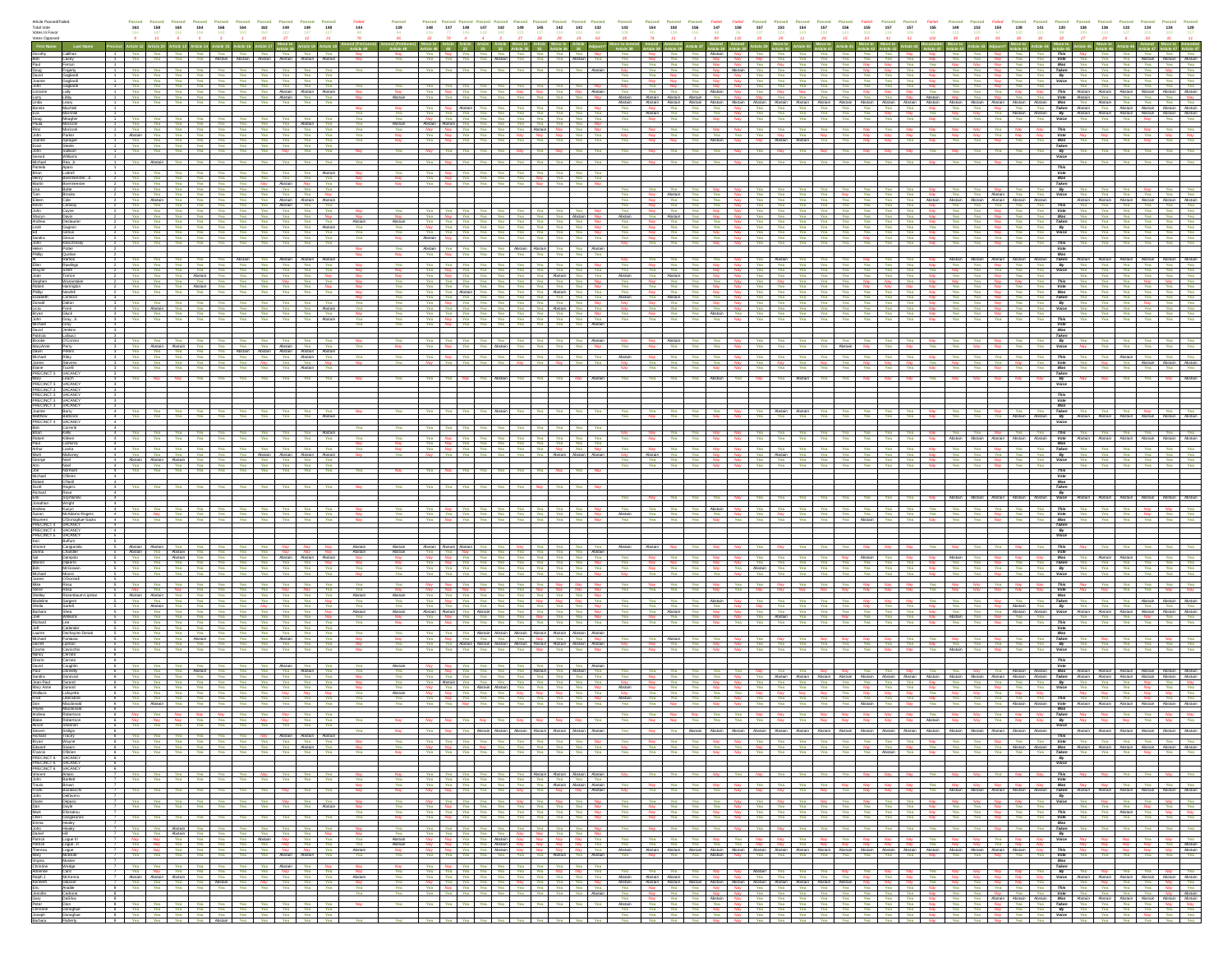| Votes In Favor                                                             |                                                                                                                                                                                                                                                                                                                                                      |             | 160                                              |                                                          |     |         |            |                        |                               |                      |     |                                                                                                                            | $\frac{142}{140}$ |                                                                                                                                                                                                                                                                                     |                  |                       |                            |                                                                                                                                                                                                                                     |                    |                                    |                                                     |                         |       |                                |                                                                     |         |                           |         |         |                                        |                                             |         |                                                                                                              |                                                                                                                                                                                         |     |
|----------------------------------------------------------------------------|------------------------------------------------------------------------------------------------------------------------------------------------------------------------------------------------------------------------------------------------------------------------------------------------------------------------------------------------------|-------------|--------------------------------------------------|----------------------------------------------------------|-----|---------|------------|------------------------|-------------------------------|----------------------|-----|----------------------------------------------------------------------------------------------------------------------------|-------------------|-------------------------------------------------------------------------------------------------------------------------------------------------------------------------------------------------------------------------------------------------------------------------------------|------------------|-----------------------|----------------------------|-------------------------------------------------------------------------------------------------------------------------------------------------------------------------------------------------------------------------------------|--------------------|------------------------------------|-----------------------------------------------------|-------------------------|-------|--------------------------------|---------------------------------------------------------------------|---------|---------------------------|---------|---------|----------------------------------------|---------------------------------------------|---------|--------------------------------------------------------------------------------------------------------------|-----------------------------------------------------------------------------------------------------------------------------------------------------------------------------------------|-----|
|                                                                            |                                                                                                                                                                                                                                                                                                                                                      |             |                                                  | Yea Yea Yea Yea Yea                                      |     |         |            |                        |                               |                      |     |                                                                                                                            |                   |                                                                                                                                                                                                                                                                                     |                  |                       |                            |                                                                                                                                                                                                                                     |                    |                                    |                                                     |                         |       |                                |                                                                     |         |                           |         |         | This                                   |                                             |         |                                                                                                              |                                                                                                                                                                                         |     |
|                                                                            |                                                                                                                                                                                                                                                                                                                                                      | Yea Yea     | Yea Yea                                          |                                                          |     |         |            | Yea                    |                               |                      |     |                                                                                                                            |                   |                                                                                                                                                                                                                                                                                     |                  |                       |                            |                                                                                                                                                                                                                                     |                    |                                    |                                                     |                         |       |                                |                                                                     |         |                           |         |         | Taken                                  | Yea                                         |         | Yea<br>Yea                                                                                                   |                                                                                                                                                                                         |     |
| Fogerty<br>Gagliard<br>Gagliard<br>Gagliard                                | 1 Yea Yea Yea Yea                                                                                                                                                                                                                                                                                                                                    |             | <u>vea vea vea vea vea</u><br>Vea Vea Vea Vea    |                                                          |     |         |            | Yea<br>Yea             |                               |                      |     |                                                                                                                            |                   |                                                                                                                                                                                                                                                                                     |                  |                       |                            |                                                                                                                                                                                                                                     |                    |                                    |                                                     |                         |       |                                |                                                                     |         |                           |         |         |                                        |                                             |         | Yea <sup>1</sup><br>Yea                                                                                      | Yea                                                                                                                                                                                     |     |
|                                                                            |                                                                                                                                                                                                                                                                                                                                                      |             |                                                  |                                                          |     |         |            |                        |                               |                      |     |                                                                                                                            |                   |                                                                                                                                                                                                                                                                                     |                  |                       |                            |                                                                                                                                                                                                                                     |                    |                                    |                                                     |                         |       |                                |                                                                     |         |                           |         |         |                                        | Abstain<br>Vote Abstain Yea<br>Was Yea Abst |         |                                                                                                              |                                                                                                                                                                                         |     |
| Lean<br>MacNe                                                              | Yea I<br>$\pm\pm$                                                                                                                                                                                                                                                                                                                                    |             |                                                  |                                                          |     |         |            |                        |                               |                      |     | Yea Yea                                                                                                                    |                   |                                                                                                                                                                                                                                                                                     |                  |                       |                            |                                                                                                                                                                                                                                     |                    |                                    |                                                     |                         |       |                                |                                                                     |         |                           |         |         |                                        | Taken Abstain                               | Abstair |                                                                                                              |                                                                                                                                                                                         |     |
| Meagh<br>Morico                                                            |                                                                                                                                                                                                                                                                                                                                                      |             |                                                  |                                                          |     |         |            |                        |                               |                      |     |                                                                                                                            |                   |                                                                                                                                                                                                                                                                                     |                  |                       |                            |                                                                                                                                                                                                                                     |                    |                                    |                                                     |                         |       |                                |                                                                     |         |                           |         |         |                                        |                                             |         |                                                                                                              |                                                                                                                                                                                         |     |
|                                                                            | Abstain                                                                                                                                                                                                                                                                                                                                              |             | Yea                                              |                                                          |     |         |            |                        |                               |                      |     |                                                                                                                            |                   |                                                                                                                                                                                                                                                                                     |                  |                       |                            |                                                                                                                                                                                                                                     |                    |                                    |                                                     |                         |       |                                |                                                                     |         |                           |         |         | Vote<br>Was<br>Taken                   |                                             |         |                                                                                                              |                                                                                                                                                                                         |     |
| Sullivan                                                                   | Yea                                                                                                                                                                                                                                                                                                                                                  | Yea I       | Yea                                              |                                                          |     |         |            | Yea<br>Yea             |                               |                      |     |                                                                                                                            |                   |                                                                                                                                                                                                                                                                                     |                  |                       |                            |                                                                                                                                                                                                                                     |                    |                                    |                                                     |                         |       |                                |                                                                     |         |                           |         |         | By                                     | Yea                                         |         |                                                                                                              |                                                                                                                                                                                         |     |
|                                                                            |                                                                                                                                                                                                                                                                                                                                                      | Yea Yea     |                                                  |                                                          |     |         |            | Abstain                |                               |                      |     |                                                                                                                            |                   |                                                                                                                                                                                                                                                                                     |                  |                       |                            |                                                                                                                                                                                                                                     |                    |                                    |                                                     |                         |       |                                |                                                                     |         |                           |         |         | This<br>Vote                           |                                             |         |                                                                                                              |                                                                                                                                                                                         |     |
|                                                                            |                                                                                                                                                                                                                                                                                                                                                      | Yea Yea     |                                                  |                                                          |     |         |            | Yea                    |                               |                      |     |                                                                                                                            |                   |                                                                                                                                                                                                                                                                                     |                  |                       |                            |                                                                                                                                                                                                                                     |                    |                                    |                                                     |                         |       |                                |                                                                     |         |                           |         |         | Was<br>Taken<br>By                     |                                             |         |                                                                                                              |                                                                                                                                                                                         |     |
|                                                                            |                                                                                                                                                                                                                                                                                                                                                      | Yea         |                                                  |                                                          |     |         |            | Yea                    |                               |                      |     |                                                                                                                            |                   |                                                                                                                                                                                                                                                                                     |                  |                       |                            |                                                                                                                                                                                                                                     |                    |                                    |                                                     |                         |       |                                |                                                                     |         |                           |         |         |                                        |                                             |         |                                                                                                              |                                                                                                                                                                                         |     |
|                                                                            |                                                                                                                                                                                                                                                                                                                                                      |             |                                                  |                                                          |     |         |            |                        |                               |                      |     |                                                                                                                            |                   |                                                                                                                                                                                                                                                                                     |                  |                       |                            |                                                                                                                                                                                                                                     |                    |                                    |                                                     |                         |       |                                |                                                                     |         |                           |         |         | Vote<br>Was                            |                                             |         |                                                                                                              |                                                                                                                                                                                         |     |
|                                                                            |                                                                                                                                                                                                                                                                                                                                                      | Yea Yea     | Yea Yea Yea Yea                                  |                                                          |     |         |            |                        |                               |                      |     |                                                                                                                            |                   |                                                                                                                                                                                                                                                                                     |                  |                       |                            |                                                                                                                                                                                                                                     |                    |                                    |                                                     |                         |       |                                |                                                                     |         |                           |         |         |                                        |                                             |         |                                                                                                              |                                                                                                                                                                                         |     |
|                                                                            | <u>2 Yea Yea Yea Yea</u><br>2<br>2                                                                                                                                                                                                                                                                                                                   |             |                                                  |                                                          |     |         |            |                        |                               |                      |     |                                                                                                                            |                   |                                                                                                                                                                                                                                                                                     |                  |                       |                            |                                                                                                                                                                                                                                     |                    |                                    |                                                     |                         |       |                                |                                                                     |         |                           |         |         |                                        | This Yea                                    |         |                                                                                                              |                                                                                                                                                                                         |     |
| cawin;                                                                     | $\frac{2}{2}$                                                                                                                                                                                                                                                                                                                                        |             |                                                  | - Yea - Yea - Yea - Yea<br>- Yea - Yea - Yea - Yea - Yea | Yea |         |            |                        |                               |                      |     |                                                                                                                            |                   |                                                                                                                                                                                                                                                                                     |                  |                       |                            |                                                                                                                                                                                                                                     |                    |                                    |                                                     |                         |       |                                |                                                                     |         |                           |         |         | Taken   Abstain<br>By                  |                                             |         | Yea Yea Yea<br>Yea Yea Yea                                                                                   |                                                                                                                                                                                         |     |
| Wanami                                                                     | 2 Yea Yea Yea Abstain <u>Yea</u><br>2 Yea Yea Yea Yea Yea<br>2 Yea Yea Yea Abstain Yea                                                                                                                                                                                                                                                               |             |                                                  |                                                          |     |         |            |                        |                               |                      |     |                                                                                                                            |                   |                                                                                                                                                                                                                                                                                     |                  |                       |                            |                                                                                                                                                                                                                                     |                    |                                    |                                                     |                         |       |                                |                                                                     |         |                           |         |         | Voice                                  |                                             |         |                                                                                                              |                                                                                                                                                                                         |     |
| Harringto<br>Newtell                                                       | $\overline{\phantom{a}3}$                                                                                                                                                                                                                                                                                                                            |             |                                                  |                                                          |     |         |            |                        |                               |                      |     |                                                                                                                            |                   |                                                                                                                                                                                                                                                                                     |                  |                       |                            |                                                                                                                                                                                                                                     |                    |                                    |                                                     |                         |       |                                |                                                                     |         |                           |         |         | Vote<br>Taken                          | Yea                                         |         |                                                                                                              |                                                                                                                                                                                         |     |
|                                                                            | 3                                                                                                                                                                                                                                                                                                                                                    |             |                                                  | Yea Yea Yea Yea Yea Yea                                  |     | Yea I   |            | Yea Abstain            |                               |                      |     | Yea Yea Yea Yea                                                                                                            |                   |                                                                                                                                                                                                                                                                                     |                  |                       |                            |                                                                                                                                                                                                                                     |                    |                                    |                                                     |                         |       |                                |                                                                     |         |                           |         |         | By<br>Voice                            | Yea<br>Yea Yea                              |         |                                                                                                              | Yea<br>Yea Yea Yea Yea                                                                                                                                                                  |     |
|                                                                            | 3 Yea Abstain Yea Yea Yea Yea<br>3 Yea Yea Yea Yea Yea Yea Yea<br>3 Yea Yea Yea Yea Yea Yea Yea                                                                                                                                                                                                                                                      |             |                                                  |                                                          |     |         |            |                        |                               |                      |     |                                                                                                                            |                   |                                                                                                                                                                                                                                                                                     |                  |                       |                            |                                                                                                                                                                                                                                     |                    |                                    |                                                     |                         |       |                                |                                                                     |         |                           |         |         | This                                   |                                             |         |                                                                                                              |                                                                                                                                                                                         |     |
|                                                                            | $\overline{\phantom{a}3}$                                                                                                                                                                                                                                                                                                                            | Yea Yea Yea |                                                  |                                                          |     |         |            |                        |                               |                      |     |                                                                                                                            |                   |                                                                                                                                                                                                                                                                                     |                  |                       |                            |                                                                                                                                                                                                                                     |                    |                                    |                                                     |                         |       |                                |                                                                     |         |                           |         |         | Taker<br>By                            |                                             |         |                                                                                                              |                                                                                                                                                                                         |     |
|                                                                            | $\frac{3}{3}$<br>3 Yea Yea Yea Yea                                                                                                                                                                                                                                                                                                                   |             | - Yea Abstain Abstain Yea<br>- Yea - Yea Yea Yea |                                                          |     |         |            | Abstain<br>Yea         |                               |                      |     |                                                                                                                            |                   |                                                                                                                                                                                                                                                                                     |                  |                       |                            |                                                                                                                                                                                                                                     |                    |                                    |                                                     |                         |       |                                |                                                                     |         |                           |         |         | This                                   |                                             | Abstain |                                                                                                              |                                                                                                                                                                                         |     |
|                                                                            | 3 Yea Yea Yea Yea<br>3 Yea Yea Yea Yea<br>3                                                                                                                                                                                                                                                                                                          |             |                                                  |                                                          |     |         |            |                        |                               |                      |     |                                                                                                                            |                   |                                                                                                                                                                                                                                                                                     |                  |                       |                            |                                                                                                                                                                                                                                     |                    |                                    |                                                     |                         |       |                                |                                                                     |         |                           |         |         | Vote<br>Was<br>Taken                   | Yea                                         |         | Abstain                                                                                                      | Abstain                                                                                                                                                                                 |     |
|                                                                            | $\begin{array}{c} 3 \\ 3 \\ 3 \end{array}$                                                                                                                                                                                                                                                                                                           |             |                                                  |                                                          |     |         |            |                        |                               |                      |     |                                                                                                                            |                   |                                                                                                                                                                                                                                                                                     |                  |                       |                            |                                                                                                                                                                                                                                     |                    |                                    |                                                     |                         |       |                                |                                                                     |         |                           |         |         | $\frac{By}{Vole}$                      |                                             |         |                                                                                                              |                                                                                                                                                                                         |     |
|                                                                            | $\overline{\phantom{a}}$                                                                                                                                                                                                                                                                                                                             |             |                                                  |                                                          |     |         |            |                        |                               |                      |     |                                                                                                                            |                   |                                                                                                                                                                                                                                                                                     |                  |                       |                            |                                                                                                                                                                                                                                     |                    |                                    |                                                     |                         |       |                                |                                                                     |         |                           |         |         | This<br>Vote<br>Was                    |                                             |         |                                                                                                              |                                                                                                                                                                                         |     |
|                                                                            | $\overline{4}$<br>$\frac{4}{4}$                                                                                                                                                                                                                                                                                                                      |             |                                                  |                                                          |     |         |            |                        |                               |                      |     |                                                                                                                            |                   |                                                                                                                                                                                                                                                                                     |                  |                       |                            |                                                                                                                                                                                                                                     |                    |                                    |                                                     |                         |       |                                |                                                                     |         |                           |         |         | Taken<br>By                            | Abstain                                     |         | Abstain                                                                                                      | Abstain Abstain                                                                                                                                                                         |     |
|                                                                            |                                                                                                                                                                                                                                                                                                                                                      |             |                                                  |                                                          |     |         |            |                        |                               |                      |     |                                                                                                                            |                   |                                                                                                                                                                                                                                                                                     |                  |                       |                            |                                                                                                                                                                                                                                     |                    |                                    |                                                     |                         |       |                                |                                                                     |         |                           |         |         | The                                    |                                             |         |                                                                                                              |                                                                                                                                                                                         |     |
| Killeen<br>Lamaro<br>Lavita                                                | $\frac{4}{4}$<br>Yea                                                                                                                                                                                                                                                                                                                                 |             |                                                  |                                                          |     |         |            |                        |                               |                      |     |                                                                                                                            |                   |                                                                                                                                                                                                                                                                                     |                  |                       |                            |                                                                                                                                                                                                                                     |                    |                                    |                                                     |                         |       |                                |                                                                     |         |                           |         |         | Vote<br>Was<br>Taken                   | Abstain                                     |         | Abstair                                                                                                      |                                                                                                                                                                                         |     |
| Mahone                                                                     | $\overline{4}$<br>Yea<br>4 Abstain Abstain Abstain Yea                                                                                                                                                                                                                                                                                               | Yea Yea     |                                                  |                                                          |     |         |            |                        |                               |                      |     |                                                                                                                            |                   |                                                                                                                                                                                                                                                                                     |                  |                       |                            |                                                                                                                                                                                                                                     |                    |                                    |                                                     |                         |       |                                |                                                                     |         |                           |         |         | By<br><b>Voice</b>                     | Yea                                         |         |                                                                                                              |                                                                                                                                                                                         |     |
| OBfer<br>ONeil                                                             | $\frac{4}{4}$<br>$-4$                                                                                                                                                                                                                                                                                                                                |             |                                                  |                                                          |     |         |            |                        |                               |                      |     |                                                                                                                            |                   |                                                                                                                                                                                                                                                                                     |                  |                       |                            |                                                                                                                                                                                                                                     |                    |                                    |                                                     |                         |       |                                |                                                                     |         |                           |         |         | This<br>Vote                           |                                             |         |                                                                                                              |                                                                                                                                                                                         |     |
|                                                                            | $\frac{4}{4}$                                                                                                                                                                                                                                                                                                                                        |             |                                                  |                                                          |     |         |            |                        |                               |                      |     |                                                                                                                            |                   |                                                                                                                                                                                                                                                                                     |                  |                       |                            |                                                                                                                                                                                                                                     |                    |                                    |                                                     |                         |       |                                |                                                                     |         |                           |         |         | Was<br>Taken<br>By                     |                                             |         |                                                                                                              |                                                                                                                                                                                         |     |
|                                                                            | $\frac{4}{4}$                                                                                                                                                                                                                                                                                                                                        |             |                                                  |                                                          |     |         |            |                        |                               |                      |     |                                                                                                                            |                   |                                                                                                                                                                                                                                                                                     |                  |                       |                            |                                                                                                                                                                                                                                     |                    |                                    |                                                     |                         |       |                                |                                                                     |         |                           |         |         |                                        |                                             |         |                                                                                                              |                                                                                                                                                                                         |     |
|                                                                            | $\frac{4}{4}$                                                                                                                                                                                                                                                                                                                                        |             |                                                  |                                                          |     |         |            |                        |                               |                      |     |                                                                                                                            |                   |                                                                                                                                                                                                                                                                                     |                  |                       |                            |                                                                                                                                                                                                                                     |                    |                                    |                                                     |                         |       |                                |                                                                     |         |                           |         |         | $\frac{Voto}{Was}$ $\frac{Was}{Taken}$ |                                             |         |                                                                                                              |                                                                                                                                                                                         |     |
|                                                                            |                                                                                                                                                                                                                                                                                                                                                      |             |                                                  |                                                          |     |         |            |                        |                               |                      |     |                                                                                                                            |                   |                                                                                                                                                                                                                                                                                     |                  |                       |                            |                                                                                                                                                                                                                                     |                    |                                    |                                                     |                         |       |                                |                                                                     |         |                           |         |         |                                        |                                             |         |                                                                                                              |                                                                                                                                                                                         |     |
|                                                                            | 5 Abstain<br>$rac{5}{5}$<br>Abstain<br>Yea                                                                                                                                                                                                                                                                                                           | Yea         | Abstain<br>Yea Abstain                           |                                                          |     |         |            |                        |                               |                      |     |                                                                                                                            |                   |                                                                                                                                                                                                                                                                                     |                  |                       |                            |                                                                                                                                                                                                                                     |                    |                                    |                                                     |                         |       |                                |                                                                     |         |                           |         |         | This<br>Vote<br>Was                    |                                             |         |                                                                                                              |                                                                                                                                                                                         |     |
|                                                                            | 5 <sub>1</sub><br>Yea                                                                                                                                                                                                                                                                                                                                | Yea         | Yea Yea Yea Yea<br>Yea                           |                                                          |     |         |            |                        |                               |                      |     |                                                                                                                            |                   |                                                                                                                                                                                                                                                                                     |                  |                       |                            |                                                                                                                                                                                                                                     |                    |                                    |                                                     |                         |       |                                |                                                                     |         |                           |         |         | Taken<br>Voice                         |                                             |         | Yea                                                                                                          | Yea                                                                                                                                                                                     |     |
|                                                                            |                                                                                                                                                                                                                                                                                                                                                      |             |                                                  |                                                          |     |         |            |                        |                               |                      |     |                                                                                                                            |                   |                                                                                                                                                                                                                                                                                     |                  |                       |                            |                                                                                                                                                                                                                                     |                    |                                    |                                                     |                         |       |                                |                                                                     |         |                           |         |         | This                                   |                                             |         |                                                                                                              |                                                                                                                                                                                         |     |
|                                                                            | Abstain Abstain                                                                                                                                                                                                                                                                                                                                      | Nay Yea Nay |                                                  |                                                          |     |         |            |                        |                               |                      |     |                                                                                                                            |                   |                                                                                                                                                                                                                                                                                     |                  |                       |                            |                                                                                                                                                                                                                                     |                    |                                    |                                                     |                         |       |                                |                                                                     |         |                           |         |         | Vote<br>Was<br>Taken                   |                                             |         |                                                                                                              |                                                                                                                                                                                         |     |
|                                                                            |                                                                                                                                                                                                                                                                                                                                                      |             |                                                  |                                                          |     |         |            |                        |                               |                      |     |                                                                                                                            |                   |                                                                                                                                                                                                                                                                                     |                  |                       |                            |                                                                                                                                                                                                                                     |                    |                                    |                                                     |                         |       |                                |                                                                     |         |                           |         |         | By<br>Voice<br>This                    | Abstain                                     | Abstain | Abstain Abstain                                                                                              |                                                                                                                                                                                         |     |
|                                                                            |                                                                                                                                                                                                                                                                                                                                                      | Yea Yea Yea |                                                  |                                                          |     |         |            |                        |                               |                      |     |                                                                                                                            |                   |                                                                                                                                                                                                                                                                                     |                  |                       |                            |                                                                                                                                                                                                                                     |                    |                                    |                                                     |                         |       |                                |                                                                     |         |                           |         |         | Vote                                   |                                             |         |                                                                                                              |                                                                                                                                                                                         |     |
|                                                                            |                                                                                                                                                                                                                                                                                                                                                      |             |                                                  |                                                          |     |         |            |                        |                               |                      |     |                                                                                                                            |                   |                                                                                                                                                                                                                                                                                     |                  |                       |                            |                                                                                                                                                                                                                                     |                    |                                    |                                                     |                         |       |                                |                                                                     |         |                           |         |         | Taken<br>By<br>Voice                   |                                             |         |                                                                                                              |                                                                                                                                                                                         |     |
|                                                                            | 6 Yea Yea Yea<br>6<br>6                                                                                                                                                                                                                                                                                                                              |             |                                                  |                                                          |     |         |            |                        |                               |                      |     |                                                                                                                            |                   |                                                                                                                                                                                                                                                                                     |                  |                       |                            |                                                                                                                                                                                                                                     |                    |                                    |                                                     |                         |       |                                |                                                                     |         |                           |         |         | This                                   |                                             |         |                                                                                                              |                                                                                                                                                                                         |     |
|                                                                            |                                                                                                                                                                                                                                                                                                                                                      |             |                                                  | Yea Yea Yea Yea Yea                                      |     |         |            | Yea <sup>-</sup>       |                               |                      |     | Yea Abstain Yea Yea Yea                                                                                                    |                   |                                                                                                                                                                                                                                                                                     |                  |                       |                            |                                                                                                                                                                                                                                     |                    |                                    |                                                     |                         |       |                                |                                                                     |         |                           |         |         |                                        | By Year Year                                |         | Vote<br>Was Abstain Abstain Abstain Abstain Abstain<br>Taken Abstain Abstain Abstain Abstain Abstain<br>Year |                                                                                                                                                                                         |     |
|                                                                            | 6 Yea Yea Yea Yea Yea<br>6 Yea Yea Yea Yea Yea Yea<br>6 Yea Yea Yea Yea Yea Yea                                                                                                                                                                                                                                                                      |             |                                                  |                                                          |     |         |            |                        |                               |                      |     |                                                                                                                            |                   |                                                                                                                                                                                                                                                                                     |                  |                       |                            |                                                                                                                                                                                                                                     |                    |                                    |                                                     |                         |       |                                |                                                                     |         |                           |         |         | Voice                                  |                                             |         |                                                                                                              |                                                                                                                                                                                         |     |
|                                                                            | 6 Yea Abstain                                                                                                                                                                                                                                                                                                                                        |             |                                                  |                                                          |     |         |            |                        |                               |                      |     |                                                                                                                            |                   |                                                                                                                                                                                                                                                                                     |                  |                       |                            |                                                                                                                                                                                                                                     |                    |                                    |                                                     |                         |       |                                |                                                                     |         |                           |         |         |                                        | Vote Abstain                                |         |                                                                                                              |                                                                                                                                                                                         |     |
| Andrew<br>Blake<br>Alson<br>Steven<br>Richard<br>Rober<br>Rober<br>Shannon |                                                                                                                                                                                                                                                                                                                                                      |             |                                                  |                                                          |     |         |            |                        |                               |                      |     | r Yea <i>Hay</i> Yea May <i>Hay</i><br>r Yea Abstain Abstain Abstain                                                       |                   |                                                                                                                                                                                                                                                                                     |                  |                       |                            | Nay Nay Yea<br>Nay Yea Yea                                                                                                                                                                                                          |                    |                                    | y Yea <i>Hay Ha.</i><br>y Yea <i>Hay Ha</i> .       |                         |       |                                | Nay Yea                                                             |         |                           |         |         |                                        |                                             |         |                                                                                                              |                                                                                                                                                                                         |     |
| Smigis<br>Tracey<br>Bryan<br>Wayne                                         | e Yea Yea Yea Yea Yea Yea<br>6   Yea   Yea   Yea   Yea   Yea   Yea   Yea   Yea   Yea   Yea                                                                                                                                                                                                                                                           |             |                                                  |                                                          | Yea |         | Abstain    | Abstain Abstain        |                               |                      | Yea | Yea Yea Yea Yea Yea Yea Yea Yea                                                                                            |                   | Abstain<br>Yea                                                                                                                                                                                                                                                                      | Abstain<br>Nay 1 |                       | Yea Abstain<br>Nay Yea Yea | Abstain<br>Nay 1                                                                                                                                                                                                                    | Abstain<br>Abstain | Abstain<br>Nay Yea Yea Yea Yea Yea | Abstain Abstain Abstain                             | Abstain<br>Yea I<br>Yea | Yea I | Abstain Abstain Abstain<br>Yea | Nay                                                                 | Abstain | Abstain<br>Abstain<br>Yea | Abstain |         | This                                   |                                             |         |                                                                                                              | Nay Yea Yea Vote Yea Yea Yea Yea Yea Yea Yea                                                                                                                                            |     |
| Edward<br>Szwarc<br>Francis O'Brien<br>PRECINCT6 VACANCY                   | I 6   Yea Yea Yea Yea Yea Yea Yea Yea Yea Abstain Yea<br>- 6 Yea Yea Yea Yea Yea Yea<br>- 6 Yea Yea Yea Yea Yea                                                                                                                                                                                                                                      |             |                                                  |                                                          |     | Yea Yea | <b>Yea</b> | Yea<br>Yea             |                               |                      | Yea | Yea Yea Yea Yea Yea Yea Yea                                                                                                |                   | Nay Nay Yea Nay Yea Yea Yea Yea Yea<br>Yea<br>Yea                                                                                                                                                                                                                                   | Yea<br>Yea       |                       |                            | Yea Yea Yea Nay                                                                                                                                                                                                                     |                    |                                    | Nay Yea Yea Yea Yea Yea Yea Yea Abstain Yea Nay Yea |                         |       |                                |                                                                     |         | Yea Yea Yea               |         |         |                                        |                                             |         | <u>Vea Taken Vea Vea Vea Vea Nay Vea</u><br>By Vea Taken Vea Vea Vea Nay Vea                                 | Yea Yea Yea Yea Yea Nay Yea Yea Yea Yea Yea Nay Yea May Yea Nay Yea Yea Yea Yea Abstain Abstain Abstain Abstain Abstain Abstain Abstain Abstain Abstain Abstain Abstain Abstain Abstain | Yea |
| PRECINCT6 VACANCY<br>PRECINCT6 VACANCY<br>Viroent Amato                    | $-6$                                                                                                                                                                                                                                                                                                                                                 |             |                                                  |                                                          |     |         |            |                        |                               |                      |     |                                                                                                                            |                   |                                                                                                                                                                                                                                                                                     |                  |                       |                            |                                                                                                                                                                                                                                     |                    |                                    |                                                     |                         |       |                                |                                                                     |         |                           |         |         | Voice<br>$m_{\rm B}$ Nay               |                                             |         |                                                                                                              |                                                                                                                                                                                         |     |
| Bartlett<br>Brown<br>Busalacchi<br>Delfavero                               | ni<br>19 - Vice Vea Vea Vea Vea Vea Aley Vea Vea Vea<br>19 - Vea Vea Vea Vea Vea Vea Vea Vea Vea<br>19 - Vea Vea Vea Vea Vea Vea Vea Aley Vea Vea                                                                                                                                                                                                    |             |                                                  |                                                          |     |         |            |                        | Yea<br>Nay                    | Yea<br>Yea           |     |                                                                                                                            |                   |                                                                                                                                                                                                                                                                                     |                  |                       |                            | .<br>Yea Alay Yea Yea <i>Hay Hay</i> Yea Yea Yea Yea Alay .<br>Alay Yea Yea Yea Yea Alay Alay Alay Yea Hay Yea                                                                                                                      |                    |                                    |                                                     |                         |       |                                | .<br>Nay Nay Yea Nay Nay Nay<br>Nay Nay Yea Abstain Abstain Abstain |         |                           |         | Abstr   |                                        |                                             |         |                                                                                                              | - This Nay Nay Yea Yea <i>Nay</i> Yea<br>- Was Nay Nay Yea Yea Yea Yea<br>- Was Nay Nay Yea Yea Yea Yea Yea<br>- In Taken Abstain Abstain Abstain Abstain Abstain                       |     |
| John<br>Travis<br>Frank<br>John<br>Diane<br>Dian<br>Mark<br>Cheri          |                                                                                                                                                                                                                                                                                                                                                      |             |                                                  |                                                          |     |         |            | Yea Yea<br>Yea Abstain |                               | Yea                  |     |                                                                                                                            |                   |                                                                                                                                                                                                                                                                                     | May              | Yea                   |                            |                                                                                                                                                                                                                                     |                    |                                    |                                                     |                         |       |                                |                                                                     |         |                           |         |         | By                                     | Yea Voice Yea Nay                           |         |                                                                                                              |                                                                                                                                                                                         |     |
| Depaso<br>Doyle<br>Efstratiou                                              | 7 Yea Yea Yea Yea Yea Yea Yea<br>7 Yea Yea Yea Yea Yea Yea Yea<br>7 Yea Yea Yea Yea Yea Yea Yea                                                                                                                                                                                                                                                      |             |                                                  |                                                          |     |         |            | Year Year              | $\frac{1}{100}$<br>Yea        | Yea                  |     | May Yea Yea Yea Yea May Yea<br>Yea May Yea Yea Yea Yea Yea<br>Yea Yea Yea Yea Yea Yea Yea                                  |                   | - <mark>Nay - Yea -</mark><br>- Yea - Yea -<br>- Yea - Yea -<br>Yea Nay Yea Yea Yea Yea Yea Yea Yea Yea                                                                                                                                                                             | Nay<br>Nay       | Yea<br>Yea<br>Nay Yea |                            |                                                                                                                                                                                                                                     |                    |                                    |                                                     |                         |       |                                |                                                                     |         |                           |         |         |                                        |                                             |         |                                                                                                              |                                                                                                                                                                                         |     |
| Gargalianos<br>Healey<br>Emma<br>John<br>Daniel<br>Healey<br>Hill          | $\begin{tabular}{c cccccc} $7$ & $v_{10}$ & $v_{100}$ & $N_{100}$ & $v_{100}$ & $v_{100}$ & $v_{100}$ & $v_{100}$ & $v_{100}$ & $v_{100}$ & $v_{100}$ & $v_{100}$ & $v_{100}$ & $v_{100}$ & $v_{100}$ & $v_{100}$ & $v_{100}$ & $v_{100}$ & $v_{100}$ & $v_{100}$ & $v_{100}$ & $v_{100}$ & $v_{100}$ & $v_{100}$ & $v_{100}$ & $v_{100}$ & $v_{100$ |             |                                                  |                                                          |     |         |            |                        |                               | Yea<br>Yea           | Yea |                                                                                                                            |                   | Yea<br>Yea<br>Yea                                                                                                                                                                                                                                                                   | Nay 1            | Yea                   |                            |                                                                                                                                                                                                                                     |                    |                                    |                                                     |                         |       |                                |                                                                     |         |                           |         |         |                                        |                                             |         |                                                                                                              |                                                                                                                                                                                         |     |
| Patrick<br>Patrick<br>Theresa<br>Logue III<br>Logue, Jr.                   | - 7 May May Yea Yea Yea Yea Abstain May Yea Yea<br>- 7 Yea May Yea Yea Yea Yea Yea May Yea Yea<br>- 7 Yea May Yea Yea Yea Yea Yea May Yea                                                                                                                                                                                                            |             |                                                  |                                                          |     |         |            |                        | Yea<br>Yea                    | Abstain<br>Abstain   |     | Yea Yea Yea Yea Yea May <i>Nay</i><br>- May May Yea Yea Abstain May <i>Nay</i><br>- May May Yea Yea Abstain May <i>Nay</i> |                   | Nay Hay<br>Nay Hay                                                                                                                                                                                                                                                                  |                  |                       |                            | . Nay<br>- Yea - Yea - Yea - Yea - Yea - Alay - Yea - Alay - Alay - Alay - Yea - Alay - Alay - Alay - Yea - Alay - Nay -<br>- Yea - Yea - Yea - Yea - Yea - Yea - Yea - Nay - Alay - Yea - Alay - Alay - Alay - Alay - Yea - Alay - |                    |                                    |                                                     |                         |       |                                |                                                                     |         |                           |         | Nay Nay |                                        |                                             |         |                                                                                                              |                                                                                                                                                                                         |     |
| Logue<br>McBride<br>Mary<br>Virgina<br>Musker                              |                                                                                                                                                                                                                                                                                                                                                      |             |                                                  |                                                          |     |         |            |                        | Abstain<br>Yea                | $\frac{1}{\sqrt{2}}$ |     |                                                                                                                            |                   | $\frac{1}{10}$ and the state $\frac{1}{10}$ and $\frac{1}{10}$ and $\frac{1}{10}$ and $\frac{1}{10}$ and $\frac{1}{10}$ and $\frac{1}{10}$ and $\frac{1}{10}$ and $\frac{1}{10}$ and $\frac{1}{10}$ and $\frac{1}{10}$ and $\frac{1}{10}$ and $\frac{1}{10}$ and $\frac{1}{10}$ and |                  |                       |                            |                                                                                                                                                                                                                                     |                    |                                    |                                                     |                         |       |                                |                                                                     |         |                           |         |         | Was a control of the control of the    |                                             |         |                                                                                                              |                                                                                                                                                                                         |     |
| Wedge<br>Christine<br>Adrianne<br>Card<br>McKerna<br>Ralph J.              | 7 Yea Yea Yea Yea Yea Yea Yea Yea Abstain Yea Nav<br>n - Yea May Yea Yea Yea Yea Yea May Yea Yea<br>- 7 Abstain Abstain Abstain Yea Yea Yea Yea Yea Yea Yea Yea Yea                                                                                                                                                                                  |             |                                                  |                                                          |     |         |            |                        | Abstain                       | Yea                  |     |                                                                                                                            |                   | Yea Nay Yea Yea Yea Yea Yea Yea Yea Yea                                                                                                                                                                                                                                             | Year 1           |                       |                            |                                                                                                                                                                                                                                     |                    |                                    |                                                     |                         |       |                                |                                                                     |         |                           |         |         | Taken                                  |                                             |         |                                                                                                              |                                                                                                                                                                                         |     |
| Kenneth<br>Eric<br>Jennifer<br>Glasser<br>Anable<br>Cedrone                | 7 Yea Yea Yea Yea Abstain Yea Aby Yea<br>8 Yea Yea Yea Yea Yea Yea Yea Yea<br>8                                                                                                                                                                                                                                                                      |             |                                                  |                                                          |     |         |            | Yea Yea<br>Yea Yea     | $\frac{N\omega_f}{V\omega_d}$ | Yea<br>Yea           |     |                                                                                                                            |                   |                                                                                                                                                                                                                                                                                     |                  |                       |                            |                                                                                                                                                                                                                                     |                    |                                    |                                                     |                         |       |                                |                                                                     |         |                           |         |         |                                        |                                             |         |                                                                                                              |                                                                                                                                                                                         |     |
| DaSilva<br>Dion<br>Donoghua                                                |                                                                                                                                                                                                                                                                                                                                                      |             |                                                  |                                                          |     |         |            |                        |                               |                      |     |                                                                                                                            |                   |                                                                                                                                                                                                                                                                                     |                  |                       |                            |                                                                                                                                                                                                                                     |                    |                                    |                                                     |                         |       |                                |                                                                     |         |                           |         |         |                                        |                                             |         |                                                                                                              |                                                                                                                                                                                         |     |
| Joseph<br>Barbara<br>Donoghue<br>Flaherty                                  |                                                                                                                                                                                                                                                                                                                                                      |             |                                                  |                                                          |     |         |            |                        | Yea                           | Yea                  |     |                                                                                                                            |                   |                                                                                                                                                                                                                                                                                     |                  |                       |                            |                                                                                                                                                                                                                                     |                    |                                    |                                                     |                         |       |                                |                                                                     |         |                           |         |         |                                        |                                             |         |                                                                                                              |                                                                                                                                                                                         |     |